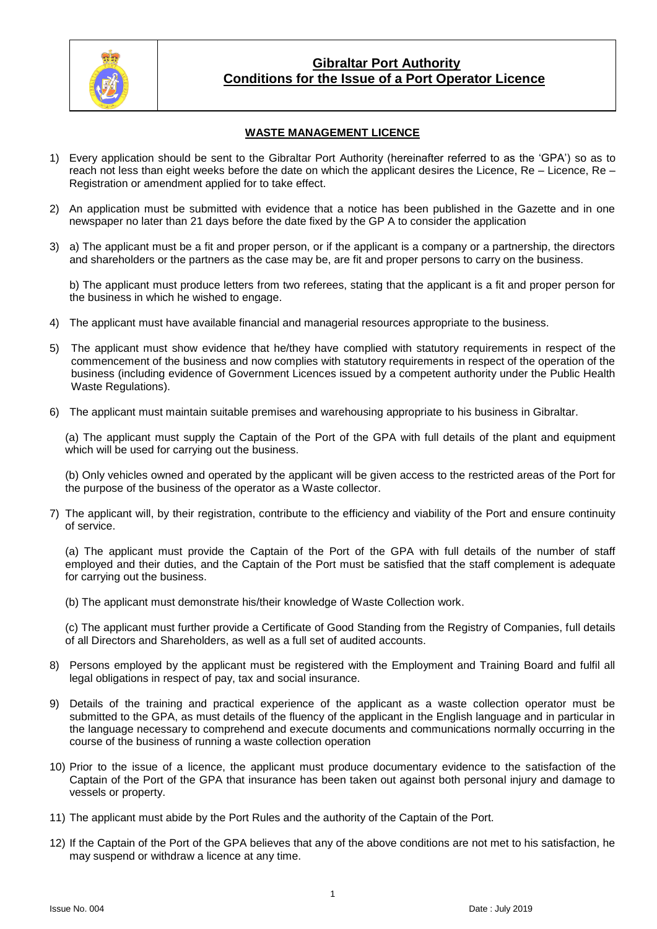

## **Gibraltar Port Authority Conditions for the Issue of a Port Operator Licence**

### **WASTE MANAGEMENT LICENCE**

- 1) Every application should be sent to the Gibraltar Port Authority (hereinafter referred to as the 'GPA') so as to reach not less than eight weeks before the date on which the applicant desires the Licence, Re – Licence, Re – Registration or amendment applied for to take effect.
- 2) An application must be submitted with evidence that a notice has been published in the Gazette and in one newspaper no later than 21 days before the date fixed by the GP A to consider the application
- 3) a) The applicant must be a fit and proper person, or if the applicant is a company or a partnership, the directors and shareholders or the partners as the case may be, are fit and proper persons to carry on the business.

b) The applicant must produce letters from two referees, stating that the applicant is a fit and proper person for the business in which he wished to engage.

- 4) The applicant must have available financial and managerial resources appropriate to the business.
- 5) The applicant must show evidence that he/they have complied with statutory requirements in respect of the commencement of the business and now complies with statutory requirements in respect of the operation of the business (including evidence of Government Licences issued by a competent authority under the Public Health Waste Regulations).
- 6) The applicant must maintain suitable premises and warehousing appropriate to his business in Gibraltar.

(a) The applicant must supply the Captain of the Port of the GPA with full details of the plant and equipment which will be used for carrying out the business.

(b) Only vehicles owned and operated by the applicant will be given access to the restricted areas of the Port for the purpose of the business of the operator as a Waste collector.

7) The applicant will, by their registration, contribute to the efficiency and viability of the Port and ensure continuity of service.

(a) The applicant must provide the Captain of the Port of the GPA with full details of the number of staff employed and their duties, and the Captain of the Port must be satisfied that the staff complement is adequate for carrying out the business.

(b) The applicant must demonstrate his/their knowledge of Waste Collection work.

(c) The applicant must further provide a Certificate of Good Standing from the Registry of Companies, full details of all Directors and Shareholders, as well as a full set of audited accounts.

- 8) Persons employed by the applicant must be registered with the Employment and Training Board and fulfil all legal obligations in respect of pay, tax and social insurance.
- 9) Details of the training and practical experience of the applicant as a waste collection operator must be submitted to the GPA, as must details of the fluency of the applicant in the English language and in particular in the language necessary to comprehend and execute documents and communications normally occurring in the course of the business of running a waste collection operation
- 10) Prior to the issue of a licence, the applicant must produce documentary evidence to the satisfaction of the Captain of the Port of the GPA that insurance has been taken out against both personal injury and damage to vessels or property.
- 11) The applicant must abide by the Port Rules and the authority of the Captain of the Port.
- 12) If the Captain of the Port of the GPA believes that any of the above conditions are not met to his satisfaction, he may suspend or withdraw a licence at any time.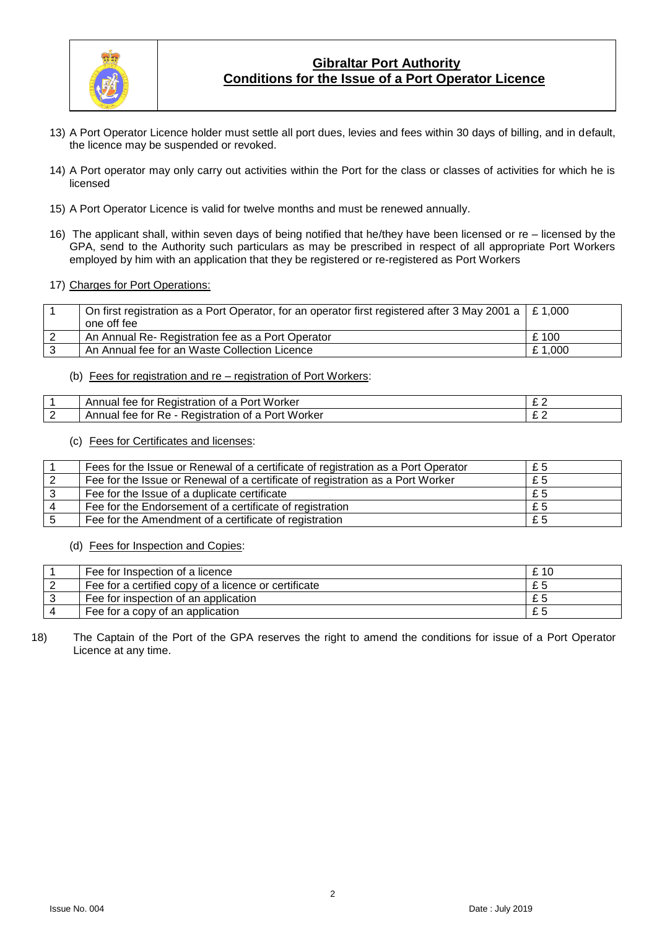

# **Gibraltar Port Authority Conditions for the Issue of a Port Operator Licence**

- 13) A Port Operator Licence holder must settle all port dues, levies and fees within 30 days of billing, and in default, the licence may be suspended or revoked.
- 14) A Port operator may only carry out activities within the Port for the class or classes of activities for which he is licensed
- 15) A Port Operator Licence is valid for twelve months and must be renewed annually.
- 16) The applicant shall, within seven days of being notified that he/they have been licensed or re licensed by the GPA, send to the Authority such particulars as may be prescribed in respect of all appropriate Port Workers employed by him with an application that they be registered or re-registered as Port Workers
- 17) Charges for Port Operations:

| On first registration as a Port Operator, for an operator first registered after 3 May 2001 a $\mid$ £ 1,000 |        |
|--------------------------------------------------------------------------------------------------------------|--------|
| one off fee                                                                                                  |        |
| An Annual Re- Registration fee as a Port Operator                                                            | £ 100  |
| An Annual fee for an Waste Collection Licence                                                                | £1,000 |

(b) Fees for registration and re – registration of Port Workers:

|          | Worker<br>Annuai<br>Registration<br>tor<br>tee<br>ΩĪ<br>nr                          |   |
|----------|-------------------------------------------------------------------------------------|---|
| <u>_</u> | .<br>Port<br>Worker<br>tee<br>tor<br>tration<br>Annuai<br>Re.<br>≺eɑıstr<br>ОT<br>d | - |

#### (c) Fees for Certificates and licenses:

| Fees for the Issue or Renewal of a certificate of registration as a Port Operator | £5 |
|-----------------------------------------------------------------------------------|----|
| Fee for the Issue or Renewal of a certificate of registration as a Port Worker    | £5 |
| Fee for the Issue of a duplicate certificate                                      | £5 |
| Fee for the Endorsement of a certificate of registration                          | £5 |
| Fee for the Amendment of a certificate of registration                            | £5 |

(d) Fees for Inspection and Copies:

| Fee for Inspection of a licence                      | £10 |
|------------------------------------------------------|-----|
| Fee for a certified copy of a licence or certificate | £5  |
| Fee for inspection of an application                 | £5  |
| Fee for a copy of an application                     | £5  |

#### 18) The Captain of the Port of the GPA reserves the right to amend the conditions for issue of a Port Operator Licence at any time.